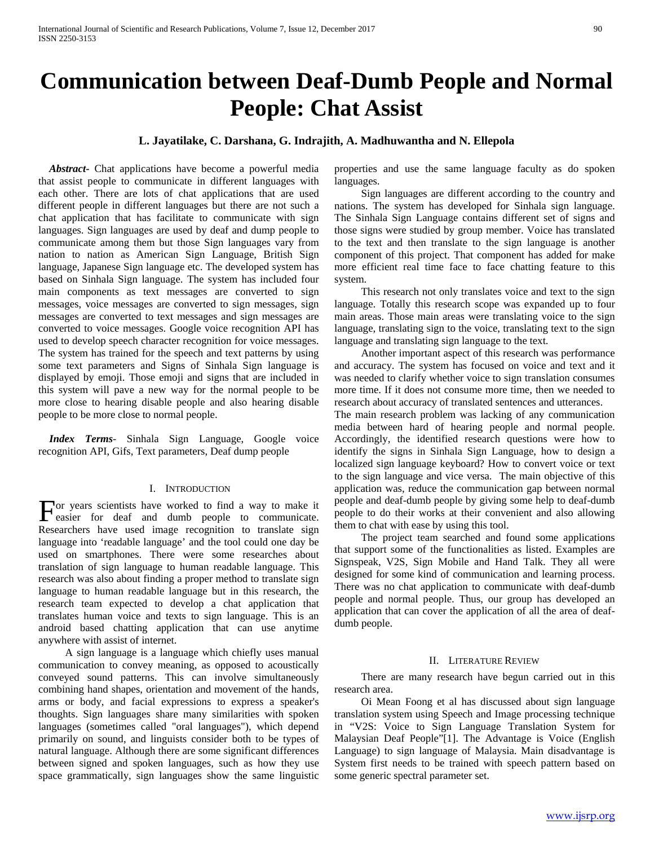# **Communication between Deaf-Dumb People and Normal People: Chat Assist**

# **L. Jayatilake, C. Darshana, G. Indrajith, A. Madhuwantha and N. Ellepola**

 *Abstract***-** Chat applications have become a powerful media that assist people to communicate in different languages with each other. There are lots of chat applications that are used different people in different languages but there are not such a chat application that has facilitate to communicate with sign languages. Sign languages are used by deaf and dump people to communicate among them but those Sign languages vary from nation to nation as American Sign Language, British Sign language, Japanese Sign language etc. The developed system has based on Sinhala Sign language. The system has included four main components as text messages are converted to sign messages, voice messages are converted to sign messages, sign messages are converted to text messages and sign messages are converted to voice messages. Google voice recognition API has used to develop speech character recognition for voice messages. The system has trained for the speech and text patterns by using some text parameters and Signs of Sinhala Sign language is displayed by emoji. Those emoji and signs that are included in this system will pave a new way for the normal people to be more close to hearing disable people and also hearing disable people to be more close to normal people.

 *Index Terms*- Sinhala Sign Language, Google voice recognition API, Gifs, Text parameters, Deaf dump people

# I. INTRODUCTION

or years scientists have worked to find a way to make it For years scientists have worked to find a way to make it easier for deaf and dumb people to communicate. Researchers have used image recognition to translate sign language into 'readable language' and the tool could one day be used on smartphones. There were some researches about translation of sign language to human readable language. This research was also about finding a proper method to translate sign language to human readable language but in this research, the research team expected to develop a chat application that translates human voice and texts to sign language. This is an android based chatting application that can use anytime anywhere with assist of internet.

 A sign language is a language which chiefly uses manual communication to convey meaning, as opposed to acoustically conveyed sound patterns. This can involve simultaneously combining hand shapes, orientation and movement of the hands, arms or body, and facial expressions to express a speaker's thoughts. Sign languages share many similarities with spoken languages (sometimes called "oral languages"), which depend primarily on sound, and linguists consider both to be types of natural language. Although there are some significant differences between signed and spoken languages, such as how they use space grammatically, sign languages show the same linguistic

properties and use the same language faculty as do spoken languages.

 Sign languages are different according to the country and nations. The system has developed for Sinhala sign language. The Sinhala Sign Language contains different set of signs and those signs were studied by group member. Voice has translated to the text and then translate to the sign language is another component of this project. That component has added for make more efficient real time face to face chatting feature to this system.

 This research not only translates voice and text to the sign language. Totally this research scope was expanded up to four main areas. Those main areas were translating voice to the sign language, translating sign to the voice, translating text to the sign language and translating sign language to the text.

 Another important aspect of this research was performance and accuracy. The system has focused on voice and text and it was needed to clarify whether voice to sign translation consumes more time. If it does not consume more time, then we needed to research about accuracy of translated sentences and utterances.

The main research problem was lacking of any communication media between hard of hearing people and normal people. Accordingly, the identified research questions were how to identify the signs in Sinhala Sign Language, how to design a localized sign language keyboard? How to convert voice or text to the sign language and vice versa. The main objective of this application was, reduce the communication gap between normal people and deaf-dumb people by giving some help to deaf-dumb people to do their works at their convenient and also allowing them to chat with ease by using this tool.

 The project team searched and found some applications that support some of the functionalities as listed. Examples are Signspeak, V2S, Sign Mobile and Hand Talk. They all were designed for some kind of communication and learning process. There was no chat application to communicate with deaf-dumb people and normal people. Thus, our group has developed an application that can cover the application of all the area of deafdumb people.

### II. LITERATURE REVIEW

 There are many research have begun carried out in this research area.

 Oi Mean Foong et al has discussed about sign language translation system using Speech and Image processing technique in "V2S: Voice to Sign Language Translation System for Malaysian Deaf People"[1]. The Advantage is Voice (English Language) to sign language of Malaysia. Main disadvantage is System first needs to be trained with speech pattern based on some generic spectral parameter set.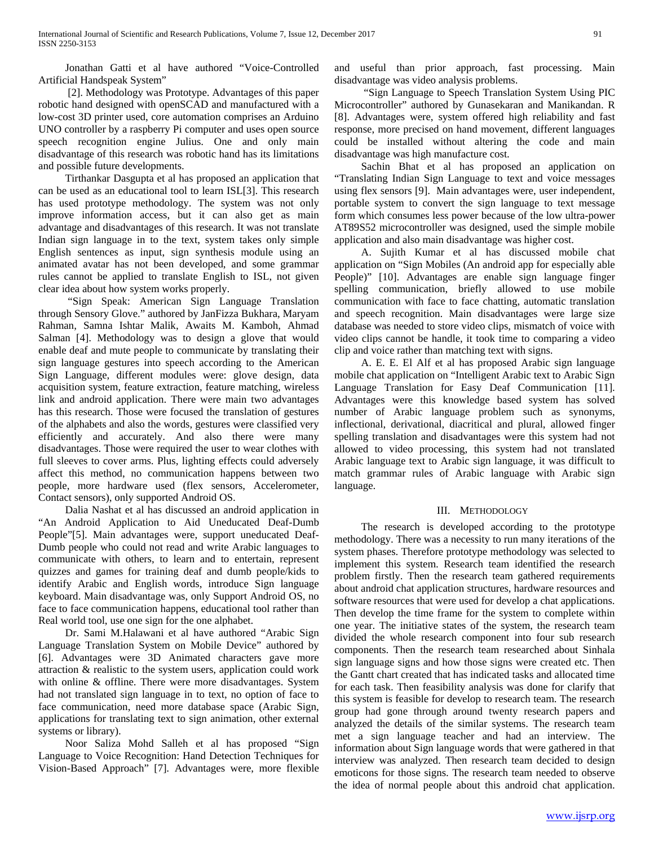Jonathan Gatti et al have authored "Voice-Controlled Artificial Handspeak System"

 [2]. Methodology was Prototype. Advantages of this paper robotic hand designed with openSCAD and manufactured with a low-cost 3D printer used, core automation comprises an Arduino UNO controller by a raspberry Pi computer and uses open source speech recognition engine Julius. One and only main disadvantage of this research was robotic hand has its limitations and possible future developments.

 Tirthankar Dasgupta et al has proposed an application that can be used as an educational tool to learn ISL[3]. This research has used prototype methodology. The system was not only improve information access, but it can also get as main advantage and disadvantages of this research. It was not translate Indian sign language in to the text, system takes only simple English sentences as input, sign synthesis module using an animated avatar has not been developed, and some grammar rules cannot be applied to translate English to ISL, not given clear idea about how system works properly.

 "Sign Speak: American Sign Language Translation through Sensory Glove." authored by JanFizza Bukhara, Maryam Rahman, Samna Ishtar Malik, Awaits M. Kamboh, Ahmad Salman [4]. Methodology was to design a glove that would enable deaf and mute people to communicate by translating their sign language gestures into speech according to the American Sign Language, different modules were: glove design, data acquisition system, feature extraction, feature matching, wireless link and android application. There were main two advantages has this research. Those were focused the translation of gestures of the alphabets and also the words, gestures were classified very efficiently and accurately. And also there were many disadvantages. Those were required the user to wear clothes with full sleeves to cover arms. Plus, lighting effects could adversely affect this method, no communication happens between two people, more hardware used (flex sensors, Accelerometer, Contact sensors), only supported Android OS.

 Dalia Nashat et al has discussed an android application in "An Android Application to Aid Uneducated Deaf-Dumb People"[5]. Main advantages were, support uneducated Deaf-Dumb people who could not read and write Arabic languages to communicate with others, to learn and to entertain, represent quizzes and games for training deaf and dumb people/kids to identify Arabic and English words, introduce Sign language keyboard. Main disadvantage was, only Support Android OS, no face to face communication happens, educational tool rather than Real world tool, use one sign for the one alphabet.

 Dr. Sami M.Halawani et al have authored "Arabic Sign Language Translation System on Mobile Device" authored by [6]. Advantages were 3D Animated characters gave more attraction & realistic to the system users, application could work with online & offline. There were more disadvantages. System had not translated sign language in to text, no option of face to face communication, need more database space (Arabic Sign, applications for translating text to sign animation, other external systems or library).

 Noor Saliza Mohd Salleh et al has proposed "Sign Language to Voice Recognition: Hand Detection Techniques for Vision-Based Approach" [7]. Advantages were, more flexible and useful than prior approach, fast processing. Main disadvantage was video analysis problems.

 "Sign Language to Speech Translation System Using PIC Microcontroller" authored by Gunasekaran and Manikandan. R [8]. Advantages were, system offered high reliability and fast response, more precised on hand movement, different languages could be installed without altering the code and main disadvantage was high manufacture cost.

 Sachin Bhat et al has proposed an application on "Translating Indian Sign Language to text and voice messages using flex sensors [9]. Main advantages were, user independent, portable system to convert the sign language to text message form which consumes less power because of the low ultra-power AT89S52 microcontroller was designed, used the simple mobile application and also main disadvantage was higher cost.

 A. Sujith Kumar et al has discussed mobile chat application on "Sign Mobiles (An android app for especially able People)" [10]. Advantages are enable sign language finger spelling communication, briefly allowed to use mobile communication with face to face chatting, automatic translation and speech recognition. Main disadvantages were large size database was needed to store video clips, mismatch of voice with video clips cannot be handle, it took time to comparing a video clip and voice rather than matching text with signs.

 A. E. E. El Alf et al has proposed Arabic sign language mobile chat application on "Intelligent Arabic text to Arabic Sign Language Translation for Easy Deaf Communication [11]. Advantages were this knowledge based system has solved number of Arabic language problem such as synonyms, inflectional, derivational, diacritical and plural, allowed finger spelling translation and disadvantages were this system had not allowed to video processing, this system had not translated Arabic language text to Arabic sign language, it was difficult to match grammar rules of Arabic language with Arabic sign language.

## III. METHODOLOGY

 The research is developed according to the prototype methodology. There was a necessity to run many iterations of the system phases. Therefore prototype methodology was selected to implement this system. Research team identified the research problem firstly. Then the research team gathered requirements about android chat application structures, hardware resources and software resources that were used for develop a chat applications. Then develop the time frame for the system to complete within one year. The initiative states of the system, the research team divided the whole research component into four sub research components. Then the research team researched about Sinhala sign language signs and how those signs were created etc. Then the Gantt chart created that has indicated tasks and allocated time for each task. Then feasibility analysis was done for clarify that this system is feasible for develop to research team. The research group had gone through around twenty research papers and analyzed the details of the similar systems. The research team met a sign language teacher and had an interview. The information about Sign language words that were gathered in that interview was analyzed. Then research team decided to design emoticons for those signs. The research team needed to observe the idea of normal people about this android chat application.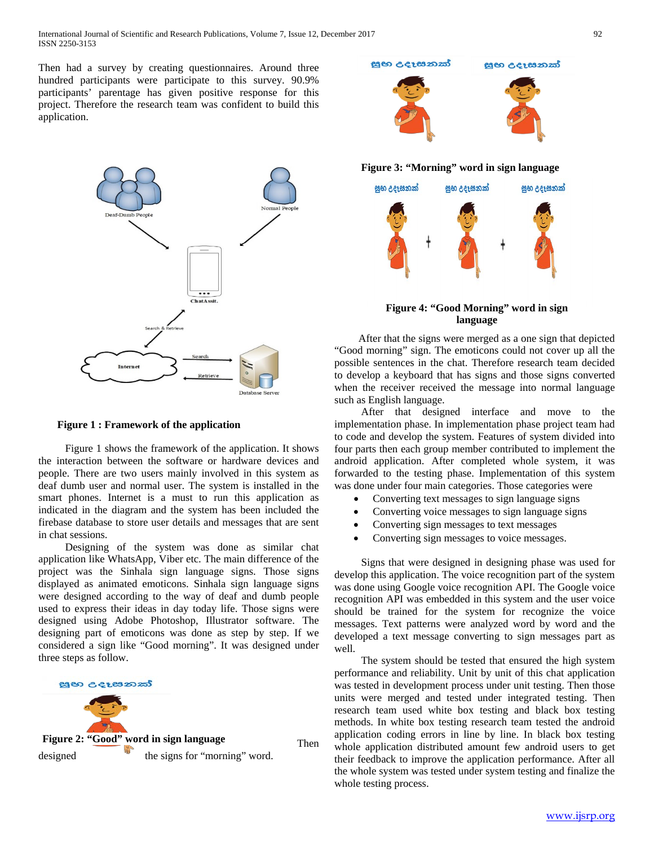Then had a survey by creating questionnaires. Around three hundred participants were participate to this survey. 90.9% participants' parentage has given positive response for this project. Therefore the research team was confident to build this application.



#### **Figure 1 : Framework of the application**

 Figure 1 shows the framework of the application. It shows the interaction between the software or hardware devices and people. There are two users mainly involved in this system as deaf dumb user and normal user. The system is installed in the smart phones. Internet is a must to run this application as indicated in the diagram and the system has been included the firebase database to store user details and messages that are sent in chat sessions.

 Designing of the system was done as similar chat application like WhatsApp, Viber etc. The main difference of the project was the Sinhala sign language signs. Those signs displayed as animated emoticons. Sinhala sign language signs were designed according to the way of deaf and dumb people used to express their ideas in day today life. Those signs were designed using Adobe Photoshop, Illustrator software. The designing part of emoticons was done as step by step. If we considered a sign like "Good morning". It was designed under three steps as follow.







 After that the signs were merged as a one sign that depicted "Good morning" sign. The emoticons could not cover up all the possible sentences in the chat. Therefore research team decided to develop a keyboard that has signs and those signs converted when the receiver received the message into normal language such as English language.

 After that designed interface and move to the implementation phase. In implementation phase project team had to code and develop the system. Features of system divided into four parts then each group member contributed to implement the android application. After completed whole system, it was forwarded to the testing phase. Implementation of this system was done under four main categories. Those categories were

- Converting text messages to sign language signs
- Converting voice messages to sign language signs
- Converting sign messages to text messages
- Converting sign messages to voice messages.

 Signs that were designed in designing phase was used for develop this application. The voice recognition part of the system was done using Google voice recognition API. The Google voice recognition API was embedded in this system and the user voice should be trained for the system for recognize the voice messages. Text patterns were analyzed word by word and the developed a text message converting to sign messages part as well.

 The system should be tested that ensured the high system performance and reliability. Unit by unit of this chat application was tested in development process under unit testing. Then those units were merged and tested under integrated testing. Then research team used white box testing and black box testing methods. In white box testing research team tested the android application coding errors in line by line. In black box testing whole application distributed amount few android users to get their feedback to improve the application performance. After all the whole system was tested under system testing and finalize the whole testing process.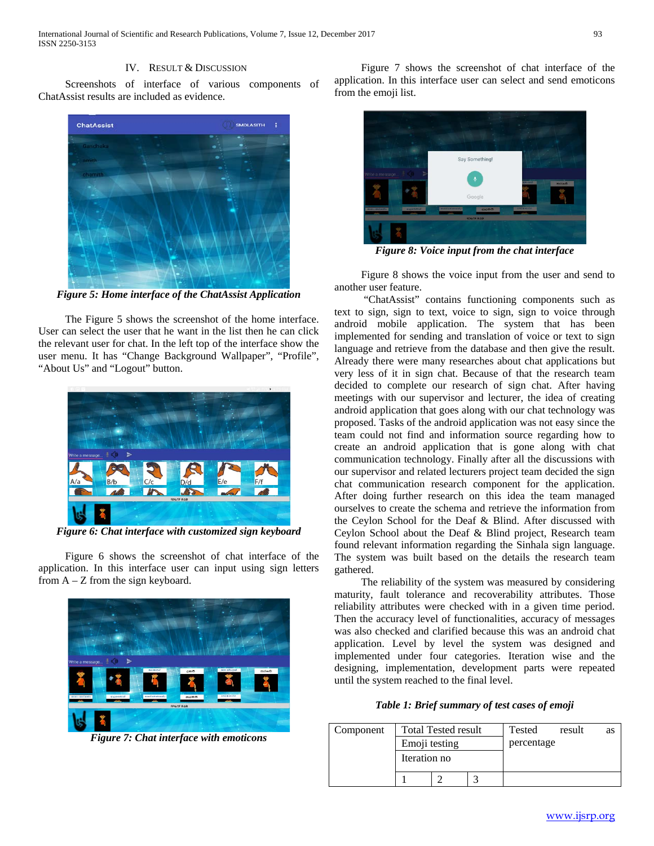International Journal of Scientific and Research Publications, Volume 7, Issue 12, December 2017 93 ISSN 2250-3153

### IV. RESULT & DISCUSSION

 Screenshots of interface of various components of ChatAssist results are included as evidence.



*Figure 5: Home interface of the ChatAssist Application*

 The Figure 5 shows the screenshot of the home interface. User can select the user that he want in the list then he can click the relevant user for chat. In the left top of the interface show the user menu. It has "Change Background Wallpaper", "Profile", "About Us" and "Logout" button.



*Figure 6: Chat interface with customized sign keyboard*

 Figure 6 shows the screenshot of chat interface of the application. In this interface user can input using sign letters from  $A - Z$  from the sign keyboard.



*Figure 7: Chat interface with emoticons*

 Figure 7 shows the screenshot of chat interface of the application. In this interface user can select and send emoticons from the emoji list.



*Figure 8: Voice input from the chat interface*

 Figure 8 shows the voice input from the user and send to another user feature.

 "ChatAssist" contains functioning components such as text to sign, sign to text, voice to sign, sign to voice through android mobile application. The system that has been implemented for sending and translation of voice or text to sign language and retrieve from the database and then give the result. Already there were many researches about chat applications but very less of it in sign chat. Because of that the research team decided to complete our research of sign chat. After having meetings with our supervisor and lecturer, the idea of creating android application that goes along with our chat technology was proposed. Tasks of the android application was not easy since the team could not find and information source regarding how to create an android application that is gone along with chat communication technology. Finally after all the discussions with our supervisor and related lecturers project team decided the sign chat communication research component for the application. After doing further research on this idea the team managed ourselves to create the schema and retrieve the information from the Ceylon School for the Deaf & Blind. After discussed with Ceylon School about the Deaf & Blind project, Research team found relevant information regarding the Sinhala sign language. The system was built based on the details the research team gathered.

 The reliability of the system was measured by considering maturity, fault tolerance and recoverability attributes. Those reliability attributes were checked with in a given time period. Then the accuracy level of functionalities, accuracy of messages was also checked and clarified because this was an android chat application. Level by level the system was designed and implemented under four categories. Iteration wise and the designing, implementation, development parts were repeated until the system reached to the final level.

## *Table 1: Brief summary of test cases of emoji*

| Component | <b>Total Tested result</b> |  |  | Tested     | result | as |
|-----------|----------------------------|--|--|------------|--------|----|
|           | Emoji testing              |  |  | percentage |        |    |
|           | Iteration no               |  |  |            |        |    |
|           |                            |  |  |            |        |    |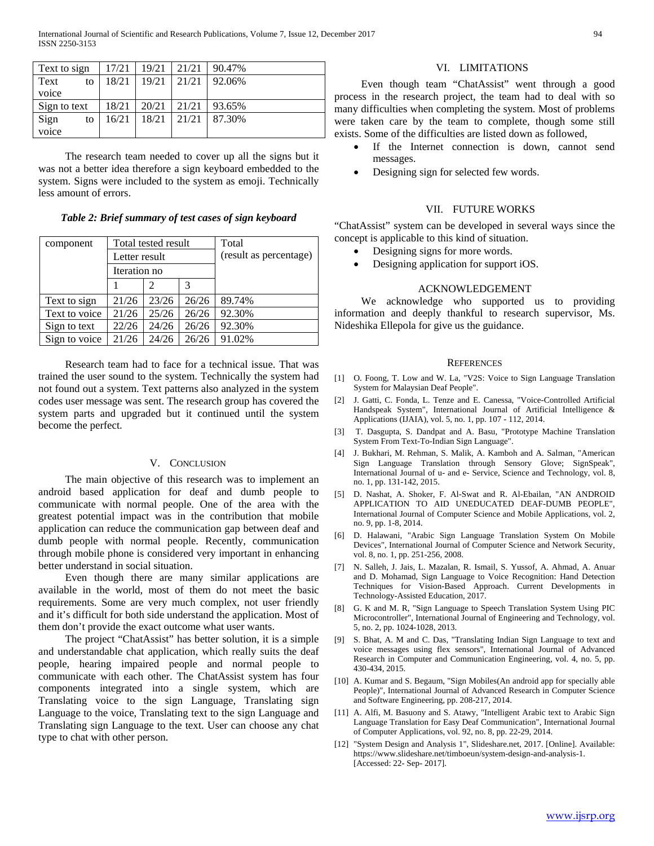| Text to sign | 17/21 | 19/21 | 21/21 | 90.47% |
|--------------|-------|-------|-------|--------|
| Text<br>to   | 18/21 | 19/21 | 21/21 | 92.06% |
| voice        |       |       |       |        |
| Sign to text | 18/21 | 20/21 | 21/21 | 93.65% |
|              |       |       |       |        |
| Sign<br>to   | 16/21 | 18/21 | 21/21 | 87.30% |

 The research team needed to cover up all the signs but it was not a better idea therefore a sign keyboard embedded to the system. Signs were included to the system as emoji. Technically less amount of errors.

*Table 2: Brief summary of test cases of sign keyboard*

| component     |               | Total tested result |       | Total                  |
|---------------|---------------|---------------------|-------|------------------------|
|               | Letter result |                     |       | (result as percentage) |
|               | Iteration no  |                     |       |                        |
|               |               | 2                   | 3     |                        |
| Text to sign  | 21/26         | 23/26               | 26/26 | 89.74%                 |
| Text to voice | 21/26         | 25/26               | 26/26 | 92.30%                 |
| Sign to text  | 22/26         | 24/26               | 26/26 | 92.30%                 |
| Sign to voice | 21/26         | 24/26               | 26/26 | 91.02%                 |

 Research team had to face for a technical issue. That was trained the user sound to the system. Technically the system had not found out a system. Text patterns also analyzed in the system codes user message was sent. The research group has covered the system parts and upgraded but it continued until the system become the perfect.

#### V. CONCLUSION

 The main objective of this research was to implement an android based application for deaf and dumb people to communicate with normal people. One of the area with the greatest potential impact was in the contribution that mobile application can reduce the communication gap between deaf and dumb people with normal people. Recently, communication through mobile phone is considered very important in enhancing better understand in social situation.

 Even though there are many similar applications are available in the world, most of them do not meet the basic requirements. Some are very much complex, not user friendly and it's difficult for both side understand the application. Most of them don't provide the exact outcome what user wants.

 The project "ChatAssist" has better solution, it is a simple and understandable chat application, which really suits the deaf people, hearing impaired people and normal people to communicate with each other. The ChatAssist system has four components integrated into a single system, which are Translating voice to the sign Language, Translating sign Language to the voice, Translating text to the sign Language and Translating sign Language to the text. User can choose any chat type to chat with other person.

### VI. LIMITATIONS

 Even though team "ChatAssist" went through a good process in the research project, the team had to deal with so many difficulties when completing the system. Most of problems were taken care by the team to complete, though some still exists. Some of the difficulties are listed down as followed,

- If the Internet connection is down, cannot send messages.
- Designing sign for selected few words.

### VII. FUTURE WORKS

"ChatAssist" system can be developed in several ways since the concept is applicable to this kind of situation.

- Designing signs for more words.
- Designing application for support iOS.

# ACKNOWLEDGEMENT

 We acknowledge who supported us to providing information and deeply thankful to research supervisor, Ms. Nideshika Ellepola for give us the guidance.

#### **REFERENCES**

- [1] O. Foong, T. Low and W. La, "V2S: Voice to Sign Language Translation System for Malaysian Deaf People".
- [2] J. Gatti, C. Fonda, L. Tenze and E. Canessa, "Voice-Controlled Artificial Handspeak System", International Journal of Artificial Intelligence & Applications (IJAIA), vol. 5, no. 1, pp. 107 - 112, 2014.
- [3] T. Dasgupta, S. Dandpat and A. Basu, "Prototype Machine Translation System From Text-To-Indian Sign Language".
- [4] J. Bukhari, M. Rehman, S. Malik, A. Kamboh and A. Salman, "American Sign Language Translation through Sensory Glove; SignSpeak", International Journal of u- and e- Service, Science and Technology, vol. 8, no. 1, pp. 131-142, 2015.
- [5] D. Nashat, A. Shoker, F. Al-Swat and R. Al-Ebailan, "AN ANDROID APPLICATION TO AID UNEDUCATED DEAF-DUMB PEOPLE", International Journal of Computer Science and Mobile Applications, vol. 2, no. 9, pp. 1-8, 2014.
- [6] D. Halawani, "Arabic Sign Language Translation System On Mobile Devices", International Journal of Computer Science and Network Security, vol. 8, no. 1, pp. 251-256, 2008.
- [7] N. Salleh, J. Jais, L. Mazalan, R. Ismail, S. Yussof, A. Ahmad, A. Anuar and D. Mohamad, Sign Language to Voice Recognition: Hand Detection Techniques for Vision-Based Approach. Current Developments in Technology-Assisted Education, 2017.
- [8] G. K and M. R, "Sign Language to Speech Translation System Using PIC Microcontroller", International Journal of Engineering and Technology, vol. 5, no. 2, pp. 1024-1028, 2013.
- [9] S. Bhat, A. M and C. Das, "Translating Indian Sign Language to text and voice messages using flex sensors", International Journal of Advanced Research in Computer and Communication Engineering, vol. 4, no. 5, pp. 430-434, 2015.
- [10] A. Kumar and S. Begaum, "Sign Mobiles(An android app for specially able People)", International Journal of Advanced Research in Computer Science and Software Engineering, pp. 208-217, 2014.
- [11] A. Alfi, M. Basuony and S. Atawy, "Intelligent Arabic text to Arabic Sign Language Translation for Easy Deaf Communication", International Journal of Computer Applications, vol. 92, no. 8, pp. 22-29, 2014.
- [12] "System Design and Analysis 1", Slideshare.net, 2017. [Online]. Available: https://www.slideshare.net/timboeun/system-design-and-analysis-1. [Accessed: 22- Sep- 2017].